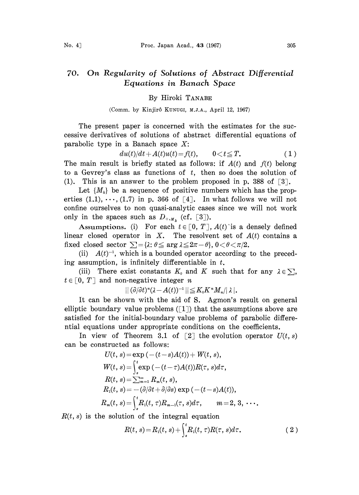## 70. On Regularity of Solutions of Abstract Differential Equations in Banach Space

## By Hiroki TANABE

(Comm. by Kinjirô KUNUGI, M.J.A., April 12, 1967)

The present paper is concerned with the estimates for the successive derivatives of solutions of abstract differential equations of parabolic type in a Banach space  $X$ :

$$
du(t)/dt + A(t)u(t) = f(t), \qquad 0 < t \leq T.
$$
 (1)

The main result is briefly stated as follows: if  $A(t)$  and  $f(t)$  belong to a Gevrey's class as functions of  $t$ , then so does the solution of (1). This is an answer to the problem proposed in p. 388 of  $\lceil 3 \rceil$ .

Let  $\{M_k\}$  be a sequence of positive numbers which has the properties  $(1,1), \ldots, (1,7)$  in p. 366 of [4]. In what follows we will not confine ourselves to non quasi-analytic cases since we will not work only in the spaces such as  $D_{+,M_k}$  (cf. [3]).

Assumptions. (i) For each  $t \in [0, T]$ ,  $A(t)$  is a densely defined linear closed operator in X. The resolvent set of  $A(t)$  contains a fixed closed sector  $\sum = {\lambda : \theta \le \arg \lambda \le 2\pi - \theta}, 0 < \theta < \pi/2.$ 

(ii)  $A(t)^{-1}$ , which is a bounded operator according to the preceding assumption, is infinitely differentiable in  $t$ .

(iii) There exist constants  $K_0$  and K such that for any  $\lambda \in \sum$ ,  $t \in [0, T]$  and non-negative integer *n* 

 $||\left(\frac{\partial}{\partial t}\right)^n(\lambda - A(t))^{-1}|| \leq K_0K^nM_n/|\lambda|.$ 

It can be shown with the aid of S. Agmon's result on general elliptic boundary value problems  $([1])$  that the assumptions above are satisfied for the initial-boundary value problems of parabolic differential equations under appropriate conditions on the coefficients.

In view of Theorem 3.1 of  $\lceil 2 \rceil$  the evolution operator  $U(t, s)$ can be constructed as follows:

$$
U(t, s) = \exp(- (t - s)A(t)) + W(t, s),
$$
  
\n
$$
W(t, s) = \int_{s}^{t} \exp(- (t - \tau)A(t))R(\tau, s)d\tau,
$$
  
\n
$$
R(t, s) = \sum_{m=1}^{\infty} R_m(t, s),
$$
  
\n
$$
R_1(t, s) = -(\partial/\partial t + \partial/\partial s) \exp(- (t - s)A(t)),
$$
  
\n
$$
R_m(t, s) = \int_{s}^{t} R_1(t, \tau)R_{m-1}(\tau, s)d\tau, \qquad m = 2, 3, \cdots.
$$

 $R(t, s)$  is the solution of the integral equation

$$
R(t, s) = R_1(t, s) + \int_s^t R_1(t, \tau) R(\tau, s) d\tau.
$$
 (2)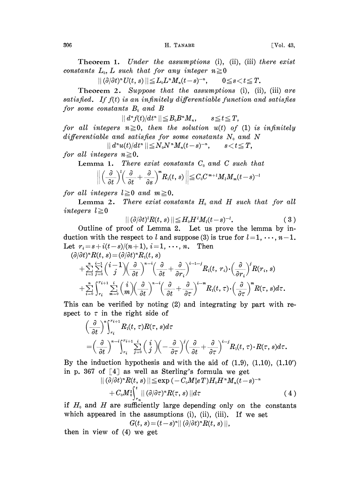Theorem 1. Under the assumptions (i), (ii), (iii) there exist constants  $L_0$ , L such that for any integer  $n \ge 0$ 

 $||(\partial/\partial t)^*U(t, s)|| \leq L_0L^*M_n(t-s)^{-n}, \qquad 0 \leq s < t \leq T.$ 

Theorem 2. Suppose that the assumptions (i), (ii), (iii) are satisfied. If  $f(t)$  is an infinitely differentiable function and satisfies for some constants  $B_0$  and  $B$ 

 $||d^n f(t)/dt^n|| \leq B_0 B^n M_n, \qquad s \leq t \leq T,$ 

for all integers  $n \ge 0$ , then the solution  $u(t)$  of (1) is infinitely differentiable and satisfies for some constants  $N_0$  and N

 $|| d^n u(t) / dt^n || \leq N_0 N^n M_n(t-s)^{-n}, \qquad s < t \leq T,$ for all integers  $n \geq 0$ .

Lemma 1. There exist constants  $C_0$  and  $C$  such that

$$
\bigg\|\Big(\frac{\partial}{\partial t}\Big)^l\Big(\frac{\partial}{\partial t}+\frac{\partial}{\partial s}\Big)^m R_{1}(t,s)\bigg\|\leqq C_{0}C^{m+l}M_{l}M_{m}(t-s)^{-l}
$$

for all integers  $l \geq 0$  and  $m \geq 0$ .

Lemma 2. There exist constants  $H_0$  and  $H$  such that for all integers  $l \geq 0$ 

$$
||(\partial/\partial t)^{l}R(t,s)|| \leq H_0H^{\,l}M_l(t-s)^{-l}.\tag{3}
$$

Outline of proof of Lemma 2. Let us prove the lemma by induction with the respect to l and suppose (3) is true for  $l=1, \dots, n-1$ . Let  $r_i = s + i(t - s)/(n + 1), i = 1, \dots, n$ . Then

$$
(\partial/\partial t)^n R(t,s) = (\partial/\partial t)^n R_1(t,s)
$$
  
+ 
$$
\sum_{i=1}^n \sum_{j=0}^{i-1} {i-1 \choose j} \left(\frac{\partial}{\partial t}\right)^{n-i} \left(\frac{\partial}{\partial t} + \frac{\partial}{\partial r_i}\right)^{i-1-j} R_1(t, r_i) \cdot \left(\frac{\partial}{\partial r_i}\right)^j R(r_i, s)
$$
  
+ 
$$
\sum_{i=0}^n \int_{r_i}^{r_{i+1}} \sum_{m=0}^i {i \choose m} \left(\frac{\partial}{\partial t}\right)^{n-i} \left(\frac{\partial}{\partial t} + \frac{\partial}{\partial \tau}\right)^{i-m} R_1(t, \tau) \cdot \left(\frac{\partial}{\partial \tau}\right)^m R(\tau, s) d\tau.
$$

This can be verified by noting (2) and integrating by part with respect to  $\tau$  in the right side of

$$
\begin{aligned}\n&\left(\frac{\partial}{\partial t}\right)^n \int_{r_i}^{r_{i+1}} R_1(t,\,\tau) R(\tau,\,s) d\tau \\
&= \left(\frac{\partial}{\partial t}\right)^{n-i} \int_{r_i}^{r_{i+1}} \sum_{j=0}^i \left(\frac{i}{j}\right) \left(-\frac{\partial}{\partial \tau}\right)^j \left(\frac{\partial}{\partial t} + \frac{\partial}{\partial \tau}\right)^{i-j} R_1(t,\,\tau) \cdot R(\tau,\,s) d\tau.\n\end{aligned}
$$

By the induction hypothesis and with the aid of  $(1.9)$ ,  $(1.10)$ ,  $(1.10')$ in p. 367 of  $[4]$  as well as Sterling's formula we get

$$
\begin{aligned} &||(\bar{\partial}/\bar{\partial}t)^nR(t,s)||{\leq}\exp{(-C_0M_0^*eT)}H_0H^*M_n(\widetilde{t}-s)^{-n}\\&+C_0M_0^2\!\!\int_{r_n}^t&||\,(\partial/\partial\tau)^nR(\tau,s)\,||d\tau\end{aligned}\eqno{(4)}
$$

if  $H_0$  and  $H$  are sufficiently large depending only on the constants which appeared in the assumptions (i), (ii), (iii). If we set

$$
G(t, s) = (t - s)^n || (\partial/\partial t)^n R(t, s) ||,
$$

then in view of (4) we get